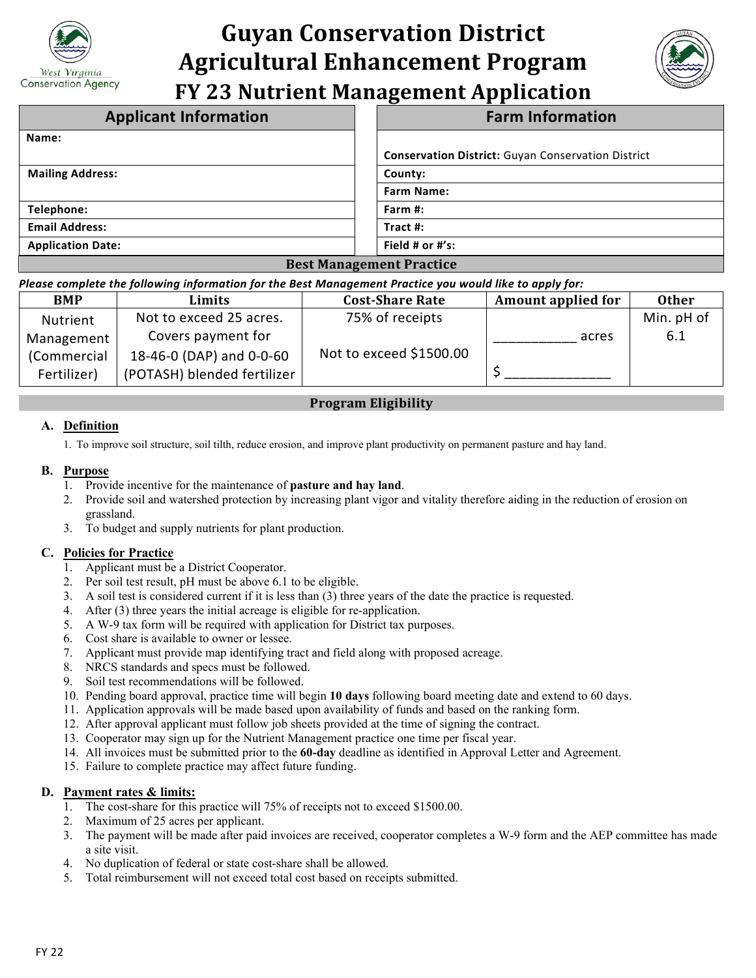

# **Guyan Conservation District Agricultural Enhancement Program FY 23 Nutrient Management Application**



| <b>Applicant Information</b>                                                                     | <b>Farm Information</b>                                   |  |  |  |
|--------------------------------------------------------------------------------------------------|-----------------------------------------------------------|--|--|--|
| Name:                                                                                            |                                                           |  |  |  |
|                                                                                                  | <b>Conservation District:</b> Guyan Conservation District |  |  |  |
| <b>Mailing Address:</b>                                                                          | County:                                                   |  |  |  |
|                                                                                                  | <b>Farm Name:</b>                                         |  |  |  |
| Telephone:                                                                                       | Farm $#$ :                                                |  |  |  |
| <b>Email Address:</b>                                                                            | Tract $#$ :                                               |  |  |  |
| <b>Application Date:</b>                                                                         | Field # or #'s:                                           |  |  |  |
| $\mathbf{D}$ and $\mathbf{M}$ are a management $\mathbf{D}$ and and a management of $\mathbf{D}$ |                                                           |  |  |  |

#### **Best Management Practice** *Please complete the following information for the Best Management Practice you would like to apply for:*

| rieuse complete the fonowing information for the best ividilagement riactice you would like to upply for. |                             |                         |                           |              |  |
|-----------------------------------------------------------------------------------------------------------|-----------------------------|-------------------------|---------------------------|--------------|--|
| <b>BMP</b>                                                                                                | Limits                      | <b>Cost-Share Rate</b>  | <b>Amount applied for</b> | <b>Other</b> |  |
| Nutrient                                                                                                  | Not to exceed 25 acres.     | 75% of receipts         |                           | Min. pH of   |  |
| Management                                                                                                | Covers payment for          |                         | acres                     | 6.1          |  |
| (Commercial                                                                                               | 18-46-0 (DAP) and 0-0-60    | Not to exceed \$1500.00 |                           |              |  |
| Fertilizer)                                                                                               | (POTASH) blended fertilizer |                         |                           |              |  |

# **Program Eligibility**

# **A. Definition**

1. To improve soil structure, soil tilth, reduce erosion, and improve plant productivity on permanent pasture and hay land.

## **B. Purpose**

- 1. Provide incentive for the maintenance of **pasture and hay land**.
- 2. Provide soil and watershed protection by increasing plant vigor and vitality therefore aiding in the reduction of erosion on grassland.
- 3. To budget and supply nutrients for plant production.

# **C. Policies for Practice**

- 1. Applicant must be a District Cooperator.
- 2. Per soil test result, pH must be above 6.1 to be eligible.
- 3. A soil test is considered current if it is less than (3) three years of the date the practice is requested.
- 4. After (3) three years the initial acreage is eligible for re-application.
- 5. A W-9 tax form will be required with application for District tax purposes.
- 6. Cost share is available to owner or lessee.
- 7. Applicant must provide map identifying tract and field along with proposed acreage.
- 8. NRCS standards and specs must be followed.
- 9. Soil test recommendations will be followed.
- 10. Pending board approval, practice time will begin **10 days** following board meeting date and extend to 60 days.
- 11. Application approvals will be made based upon availability of funds and based on the ranking form.
- 12. After approval applicant must follow job sheets provided at the time of signing the contract.
- 13. Cooperator may sign up for the Nutrient Management practice one time per fiscal year.
- 14. All invoices must be submitted prior to the **60-day** deadline as identified in Approval Letter and Agreement.
- 15. Failure to complete practice may affect future funding.

## **D. Payment rates & limits:**

- 1. The cost-share for this practice will 75% of receipts not to exceed \$1500.00.
- 2. Maximum of 25 acres per applicant.
- 3. The payment will be made after paid invoices are received, cooperator completes a W-9 form and the AEP committee has made a site visit.
- 4. No duplication of federal or state cost-share shall be allowed.
- 5. Total reimbursement will not exceed total cost based on receipts submitted.